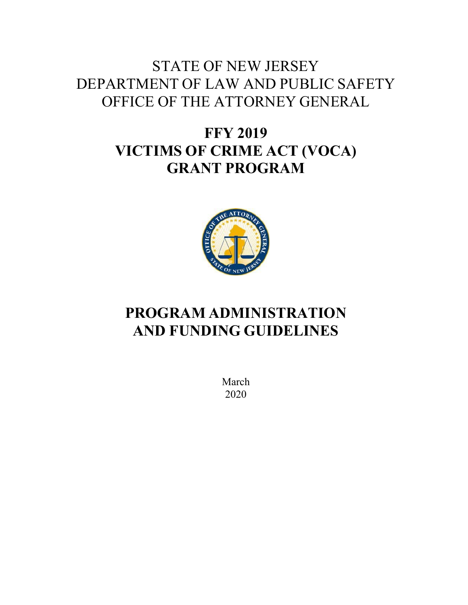# STATE OF NEW JERSEY DEPARTMENT OF LAW AND PUBLIC SAFETY OFFICE OF THE ATTORNEY GENERAL

# **FFY 2019 VICTIMS OF CRIME ACT (VOCA) GRANT PROGRAM**



# **PROGRAM ADMINISTRATION AND FUNDING GUIDELINES**

March 2020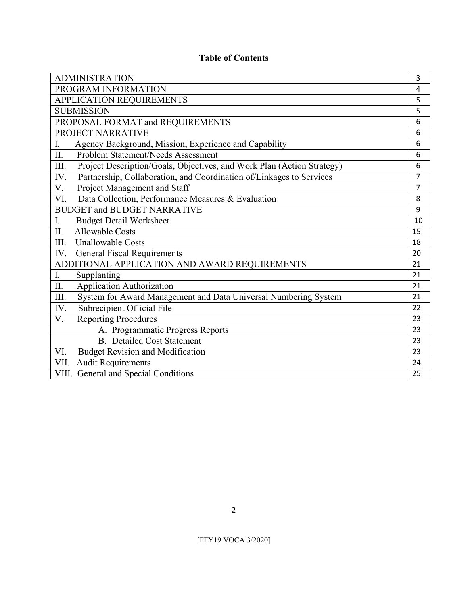## **Table of Contents**

| <b>ADMINISTRATION</b>                                                          | 3              |
|--------------------------------------------------------------------------------|----------------|
| PROGRAM INFORMATION                                                            | 4              |
| APPLICATION REQUIREMENTS                                                       | 5              |
| <b>SUBMISSION</b>                                                              | 5              |
| PROPOSAL FORMAT and REQUIREMENTS                                               | 6              |
| PROJECT NARRATIVE                                                              | 6              |
| Agency Background, Mission, Experience and Capability<br>I.                    | 6              |
| II.<br>Problem Statement/Needs Assessment                                      | 6              |
| III.<br>Project Description/Goals, Objectives, and Work Plan (Action Strategy) | 6              |
| Partnership, Collaboration, and Coordination of/Linkages to Services<br>IV.    | $\overline{7}$ |
| Project Management and Staff<br>V.                                             | $\overline{7}$ |
| Data Collection, Performance Measures & Evaluation<br>VI.                      | 8              |
| <b>BUDGET and BUDGET NARRATIVE</b>                                             | 9              |
| <b>Budget Detail Worksheet</b><br>Ι.                                           | 10             |
| П.<br><b>Allowable Costs</b>                                                   | 15             |
| III.<br><b>Unallowable Costs</b>                                               | 18             |
| <b>General Fiscal Requirements</b><br>IV.                                      | 20             |
| ADDITIONAL APPLICATION AND AWARD REQUIREMENTS                                  | 21             |
| I.<br>Supplanting                                                              | 21             |
| II.<br><b>Application Authorization</b>                                        | 21             |
| III.<br>System for Award Management and Data Universal Numbering System        | 21             |
| Subrecipient Official File<br>IV.                                              | 22             |
| V.<br><b>Reporting Procedures</b>                                              | 23             |
| A. Programmatic Progress Reports                                               | 23             |
| <b>B.</b> Detailed Cost Statement                                              | 23             |
| <b>Budget Revision and Modification</b><br>VI.                                 | 23             |
| <b>Audit Requirements</b><br>VII.                                              | 24             |
| VIII. General and Special Conditions                                           | 25             |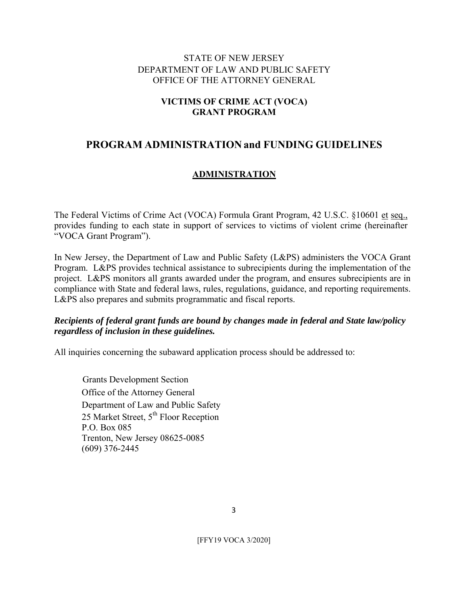## STATE OF NEW JERSEY DEPARTMENT OF LAW AND PUBLIC SAFETY OFFICE OF THE ATTORNEY GENERAL

## **VICTIMS OF CRIME ACT (VOCA) GRANT PROGRAM**

# **PROGRAM ADMINISTRATION and FUNDING GUIDELINES**

## **ADMINISTRATION**

The Federal Victims of Crime Act (VOCA) Formula Grant Program, 42 U.S.C. §10601 et seq., provides funding to each state in support of services to victims of violent crime (hereinafter "VOCA Grant Program").

In New Jersey, the Department of Law and Public Safety (L&PS) administers the VOCA Grant Program. L&PS provides technical assistance to subrecipients during the implementation of the project. L&PS monitors all grants awarded under the program, and ensures subrecipients are in compliance with State and federal laws, rules, regulations, guidance, and reporting requirements. L&PS also prepares and submits programmatic and fiscal reports.

## *Recipients of federal grant funds are bound by changes made in federal and State law/policy regardless of inclusion in these guidelines.*

All inquiries concerning the subaward application process should be addressed to:

 Grants Development Section Office of the Attorney General Department of Law and Public Safety 25 Market Street,  $5<sup>th</sup>$  Floor Reception P.O. Box 085 Trenton, New Jersey 08625-0085 (609) 376-2445

3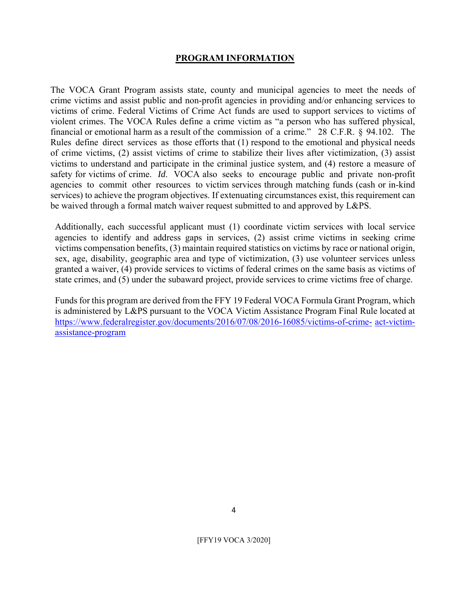#### **PROGRAM INFORMATION**

The VOCA Grant Program assists state, county and municipal agencies to meet the needs of crime victims and assist public and non-profit agencies in providing and/or enhancing services to victims of crime. Federal Victims of Crime Act funds are used to support services to victims of violent crimes. The VOCA Rules define a crime victim as "a person who has suffered physical, financial or emotional harm as a result of the commission of a crime." 28 C.F.R. § 94.102. The Rules define direct services as those efforts that (1) respond to the emotional and physical needs of crime victims, (2) assist victims of crime to stabilize their lives after victimization, (3) assist victims to understand and participate in the criminal justice system, and (4) restore a measure of safety for victims of crime. *Id*. VOCA also seeks to encourage public and private non-profit agencies to commit other resources to victim services through matching funds (cash or in-kind services) to achieve the program objectives. If extenuating circumstances exist, this requirement can be waived through a formal match waiver request submitted to and approved by L&PS.

Additionally, each successful applicant must (1) coordinate victim services with local service agencies to identify and address gaps in services, (2) assist crime victims in seeking crime victims compensation benefits, (3) maintain required statistics on victims by race or national origin, sex, age, disability, geographic area and type of victimization, (3) use volunteer services unless granted a waiver, (4) provide services to victims of federal crimes on the same basis as victims of state crimes, and (5) under the subaward project, provide services to crime victims free of charge.

Funds for this program are derived from the FFY 19 Federal VOCA Formula Grant Program, which is administered by L&PS pursuant to the VOCA Victim Assistance Program Final Rule located at https://www.federalregister.gov/documents/2016/07/08/2016-16085/victims-of-crime- act-victimassistance-program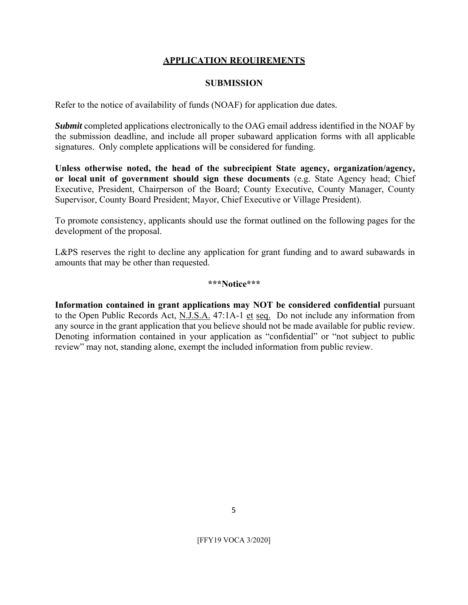## **APPLICATION REQUIREMENTS**

#### **SUBMISSION**

Refer to the notice of availability of funds (NOAF) for application due dates.

*Submit* completed applications electronically to the OAG email address identified in the NOAF by the submission deadline, and include all proper subaward application forms with all applicable signatures. Only complete applications will be considered for funding.

**Unless otherwise noted, the head of the subrecipient State agency, organization/agency, or local unit of government should sign these documents** (e.g. State Agency head; Chief Executive, President, Chairperson of the Board; County Executive, County Manager, County Supervisor, County Board President; Mayor, Chief Executive or Village President).

To promote consistency, applicants should use the format outlined on the following pages for the development of the proposal.

L&PS reserves the right to decline any application for grant funding and to award subawards in amounts that may be other than requested.

#### **\*\*\*Notice\*\*\***

**Information contained in grant applications may NOT be considered confidential** pursuant to the Open Public Records Act, N.J.S.A. 47:1A-1 et seq. Do not include any information from any source in the grant application that you believe should not be made available for public review. Denoting information contained in your application as "confidential" or "not subject to public review" may not, standing alone, exempt the included information from public review.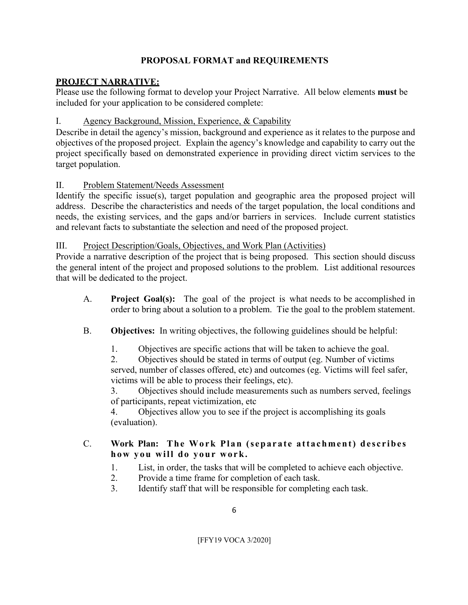## **PROPOSAL FORMAT and REQUIREMENTS**

## **PROJECT NARRATIVE:**

Please use the following format to develop your Project Narrative. All below elements **must** be included for your application to be considered complete:

## I. Agency Background, Mission, Experience, & Capability

Describe in detail the agency's mission, background and experience as it relates to the purpose and objectives of the proposed project. Explain the agency's knowledge and capability to carry out the project specifically based on demonstrated experience in providing direct victim services to the target population.

## II. Problem Statement/Needs Assessment

Identify the specific issue(s), target population and geographic area the proposed project will address. Describe the characteristics and needs of the target population, the local conditions and needs, the existing services, and the gaps and/or barriers in services. Include current statistics and relevant facts to substantiate the selection and need of the proposed project.

## III. Project Description/Goals, Objectives, and Work Plan (Activities)

Provide a narrative description of the project that is being proposed. This section should discuss the general intent of the project and proposed solutions to the problem. List additional resources that will be dedicated to the project.

- A. **Project Goal(s):** The goal of the project is what needs to be accomplished in order to bring about a solution to a problem. Tie the goal to the problem statement.
- B. **Objectives:** In writing objectives, the following guidelines should be helpful:
	- 1. Objectives are specific actions that will be taken to achieve the goal.

2. Objectives should be stated in terms of output (eg. Number of victims served, number of classes offered, etc) and outcomes (eg. Victims will feel safer, victims will be able to process their feelings, etc).

3. Objectives should include measurements such as numbers served, feelings of participants, repeat victimization, etc

4. Objectives allow you to see if the project is accomplishing its goals (evaluation).

# C. Work Plan: The Work Plan (separate attachment) describes **how you will do your work.**

- 1. List, in order, the tasks that will be completed to achieve each objective.
- 2. Provide a time frame for completion of each task.
- 3. Identify staff that will be responsible for completing each task.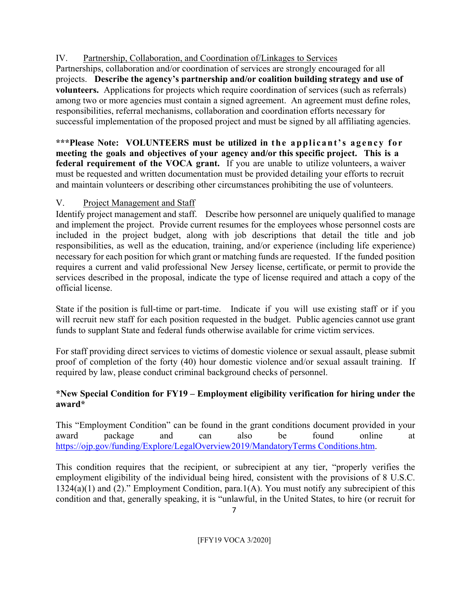# IV. Partnership, Collaboration, and Coordination of/Linkages to Services

Partnerships, collaboration and/or coordination of services are strongly encouraged for all projects. **Describe the agency's partnership and/or coalition building strategy and use of volunteers.** Applications for projects which require coordination of services (such as referrals) among two or more agencies must contain a signed agreement. An agreement must define roles, responsibilities, referral mechanisms, collaboration and coordination efforts necessary for successful implementation of the proposed project and must be signed by all affiliating agencies.

\*\*\*Please Note: VOLUNTEERS must be utilized in the applicant's agency for **meeting the goals and objectives of your agency and/or this specific project. This is a federal requirement of the VOCA grant.** If you are unable to utilize volunteers, a waiver must be requested and written documentation must be provided detailing your efforts to recruit and maintain volunteers or describing other circumstances prohibiting the use of volunteers.

# V. Project Management and Staff

Identify project management and staff. Describe how personnel are uniquely qualified to manage and implement the project. Provide current resumes for the employees whose personnel costs are included in the project budget, along with job descriptions that detail the title and job responsibilities, as well as the education, training, and/or experience (including life experience) necessary for each position for which grant or matching funds are requested. If the funded position requires a current and valid professional New Jersey license, certificate, or permit to provide the services described in the proposal, indicate the type of license required and attach a copy of the official license.

State if the position is full-time or part-time. Indicate if you will use existing staff or if you will recruit new staff for each position requested in the budget. Public agencies cannot use grant funds to supplant State and federal funds otherwise available for crime victim services.

For staff providing direct services to victims of domestic violence or sexual assault, please submit proof of completion of the forty (40) hour domestic violence and/or sexual assault training. If required by law, please conduct criminal background checks of personnel.

# **\*New Special Condition for FY19 – Employment eligibility verification for hiring under the award\***

This "Employment Condition" can be found in the grant conditions document provided in your award package and can also be found online at https://ojp.gov/funding/Explore/LegalOverview2019/MandatoryTerms Conditions.htm.

This condition requires that the recipient, or subrecipient at any tier, "properly verifies the employment eligibility of the individual being hired, consistent with the provisions of 8 U.S.C. 1324(a)(1) and (2)." Employment Condition, para.1(A). You must notify any subrecipient of this condition and that, generally speaking, it is "unlawful, in the United States, to hire (or recruit for

7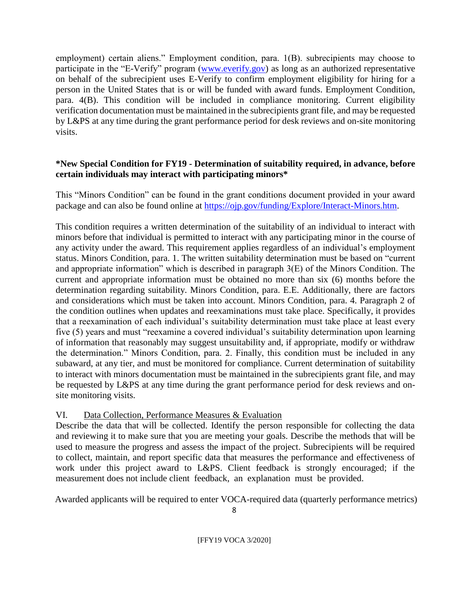employment) certain aliens." Employment condition, para. 1(B). subrecipients may choose to participate in the "E-Verify" program (www.everify.gov) as long as an authorized representative on behalf of the subrecipient uses E-Verify to confirm employment eligibility for hiring for a person in the United States that is or will be funded with award funds. Employment Condition, para. 4(B). This condition will be included in compliance monitoring. Current eligibility verification documentation must be maintained in the subrecipients grant file, and may be requested by L&PS at any time during the grant performance period for desk reviews and on-site monitoring visits.

## **\*New Special Condition for FY19 - Determination of suitability required, in advance, before certain individuals may interact with participating minors\***

This "Minors Condition" can be found in the grant conditions document provided in your award package and can also be found online at https://ojp.gov/funding/Explore/Interact-Minors.htm.

This condition requires a written determination of the suitability of an individual to interact with minors before that individual is permitted to interact with any participating minor in the course of any activity under the award. This requirement applies regardless of an individual's employment status. Minors Condition, para. 1. The written suitability determination must be based on "current and appropriate information" which is described in paragraph 3(E) of the Minors Condition. The current and appropriate information must be obtained no more than six (6) months before the determination regarding suitability. Minors Condition, para. E.E. Additionally, there are factors and considerations which must be taken into account. Minors Condition, para. 4. Paragraph 2 of the condition outlines when updates and reexaminations must take place. Specifically, it provides that a reexamination of each individual's suitability determination must take place at least every five (5) years and must "reexamine a covered individual's suitability determination upon learning of information that reasonably may suggest unsuitability and, if appropriate, modify or withdraw the determination." Minors Condition, para. 2. Finally, this condition must be included in any subaward, at any tier, and must be monitored for compliance. Current determination of suitability to interact with minors documentation must be maintained in the subrecipients grant file, and may be requested by L&PS at any time during the grant performance period for desk reviews and onsite monitoring visits.

# VI. Data Collection, Performance Measures & Evaluation

Describe the data that will be collected. Identify the person responsible for collecting the data and reviewing it to make sure that you are meeting your goals. Describe the methods that will be used to measure the progress and assess the impact of the project. Subrecipients will be required to collect, maintain, and report specific data that measures the performance and effectiveness of work under this project award to L&PS. Client feedback is strongly encouraged; if the measurement does not include client feedback, an explanation must be provided.

Awarded applicants will be required to enter VOCA-required data (quarterly performance metrics)

8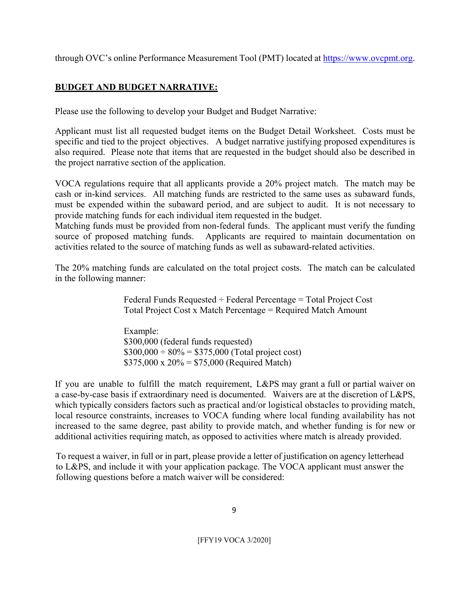through OVC's online Performance Measurement Tool (PMT) located at https://www.ovcpmt.org.

## **BUDGET AND BUDGET NARRATIVE:**

Please use the following to develop your Budget and Budget Narrative:

Applicant must list all requested budget items on the Budget Detail Worksheet. Costs must be specific and tied to the project objectives. A budget narrative justifying proposed expenditures is also required. Please note that items that are requested in the budget should also be described in the project narrative section of the application.

VOCA regulations require that all applicants provide a 20% project match. The match may be cash or in-kind services. All matching funds are restricted to the same uses as subaward funds, must be expended within the subaward period, and are subject to audit. It is not necessary to provide matching funds for each individual item requested in the budget.

Matching funds must be provided from non-federal funds. The applicant must verify the funding source of proposed matching funds. Applicants are required to maintain documentation on activities related to the source of matching funds as well as subaward-related activities.

The 20% matching funds are calculated on the total project costs. The match can be calculated in the following manner:

> Federal Funds Requested  $\div$  Federal Percentage = Total Project Cost Total Project Cost x Match Percentage = Required Match Amount

Example: \$300,000 (federal funds requested)  $$300,000 \div 80\% = $375,000$  (Total project cost)  $$375,000 \times 20\% = $75,000$  (Required Match)

If you are unable to fulfill the match requirement, L&PS may grant a full or partial waiver on a case-by-case basis if extraordinary need is documented. Waivers are at the discretion of L&PS, which typically considers factors such as practical and/or logistical obstacles to providing match, local resource constraints, increases to VOCA funding where local funding availability has not increased to the same degree, past ability to provide match, and whether funding is for new or additional activities requiring match, as opposed to activities where match is already provided.

To request a waiver, in full or in part, please provide a letter of justification on agency letterhead to L&PS, and include it with your application package. The VOCA applicant must answer the following questions before a match waiver will be considered: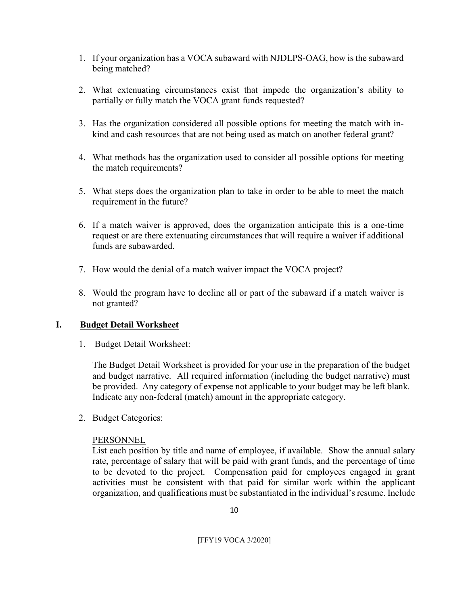- 1. If your organization has a VOCA subaward with NJDLPS-OAG, how is the subaward being matched?
- 2. What extenuating circumstances exist that impede the organization's ability to partially or fully match the VOCA grant funds requested?
- 3. Has the organization considered all possible options for meeting the match with inkind and cash resources that are not being used as match on another federal grant?
- 4. What methods has the organization used to consider all possible options for meeting the match requirements?
- 5. What steps does the organization plan to take in order to be able to meet the match requirement in the future?
- 6. If a match waiver is approved, does the organization anticipate this is a one-time request or are there extenuating circumstances that will require a waiver if additional funds are subawarded.
- 7. How would the denial of a match waiver impact the VOCA project?
- 8. Would the program have to decline all or part of the subaward if a match waiver is not granted?

## **I. Budget Detail Worksheet**

1. Budget Detail Worksheet:

The Budget Detail Worksheet is provided for your use in the preparation of the budget and budget narrative. All required information (including the budget narrative) must be provided. Any category of expense not applicable to your budget may be left blank. Indicate any non-federal (match) amount in the appropriate category.

2. Budget Categories:

#### PERSONNEL

List each position by title and name of employee, if available. Show the annual salary rate, percentage of salary that will be paid with grant funds, and the percentage of time to be devoted to the project. Compensation paid for employees engaged in grant activities must be consistent with that paid for similar work within the applicant organization, and qualifications must be substantiated in the individual's resume. Include

10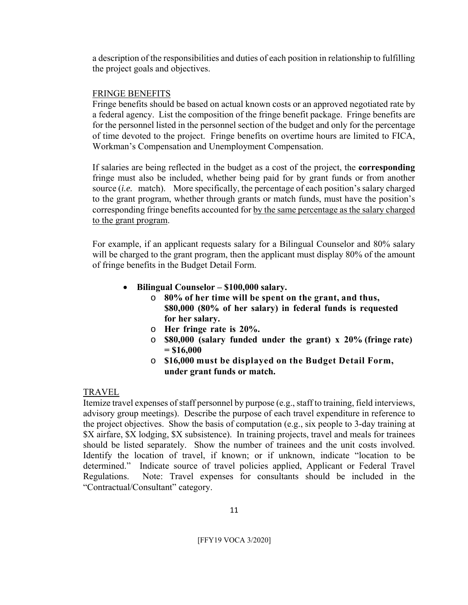a description of the responsibilities and duties of each position in relationship to fulfilling the project goals and objectives.

#### FRINGE BENEFITS

Fringe benefits should be based on actual known costs or an approved negotiated rate by a federal agency. List the composition of the fringe benefit package. Fringe benefits are for the personnel listed in the personnel section of the budget and only for the percentage of time devoted to the project. Fringe benefits on overtime hours are limited to FICA, Workman's Compensation and Unemployment Compensation.

If salaries are being reflected in the budget as a cost of the project, the **corresponding**  fringe must also be included, whether being paid for by grant funds or from another source (*i.e.* match). More specifically, the percentage of each position's salary charged to the grant program, whether through grants or match funds, must have the position's corresponding fringe benefits accounted for by the same percentage as the salary charged to the grant program.

For example, if an applicant requests salary for a Bilingual Counselor and 80% salary will be charged to the grant program, then the applicant must display 80% of the amount of fringe benefits in the Budget Detail Form.

- **Bilingual Counselor \$100,000 salary.**
	- o **80% of her time will be spent on the grant, and thus, \$80,000 (80% of her salary) in federal funds is requested for her salary.**
	- o **Her fringe rate is 20%.**
	- o **\$80,000 (salary funded under the grant) x 20% (fringe rate) = \$16,000**
	- o **\$16,000 must be displayed on the Budget Detail Form, under grant funds or match.**

## TRAVEL

Itemize travel expenses of staff personnel by purpose (e.g., staff to training, field interviews, advisory group meetings). Describe the purpose of each travel expenditure in reference to the project objectives. Show the basis of computation (e.g., six people to 3-day training at \$X airfare, \$X lodging, \$X subsistence). In training projects, travel and meals for trainees should be listed separately. Show the number of trainees and the unit costs involved. Identify the location of travel, if known; or if unknown, indicate "location to be determined." Indicate source of travel policies applied, Applicant or Federal Travel Regulations. Note: Travel expenses for consultants should be included in the "Contractual/Consultant" category.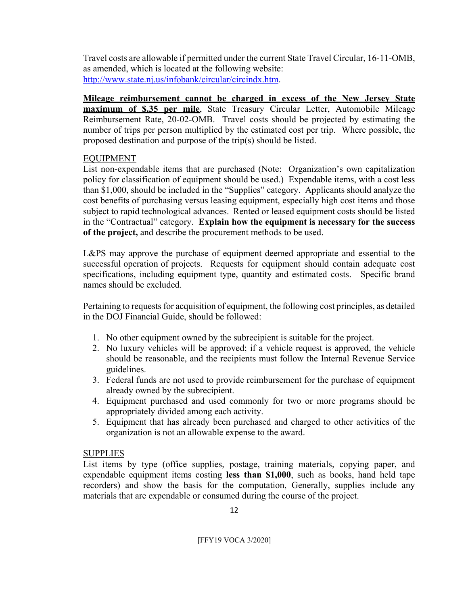Travel costs are allowable if permitted under the current State Travel Circular, 16-11-OMB, as amended, which is located at the following website: http://www.state.nj.us/infobank/circular/circindx.htm.

**Mileage reimbursement cannot be charged in excess of the New Jersey State maximum of \$.35 per mile**, State Treasury Circular Letter, Automobile Mileage Reimbursement Rate, 20-02-OMB. Travel costs should be projected by estimating the number of trips per person multiplied by the estimated cost per trip. Where possible, the proposed destination and purpose of the trip(s) should be listed.

#### EQUIPMENT

List non-expendable items that are purchased (Note: Organization's own capitalization policy for classification of equipment should be used.) Expendable items, with a cost less than \$1,000, should be included in the "Supplies" category. Applicants should analyze the cost benefits of purchasing versus leasing equipment, especially high cost items and those subject to rapid technological advances. Rented or leased equipment costs should be listed in the "Contractual" category. **Explain how the equipment is necessary for the success of the project,** and describe the procurement methods to be used.

L&PS may approve the purchase of equipment deemed appropriate and essential to the successful operation of projects. Requests for equipment should contain adequate cost specifications, including equipment type, quantity and estimated costs. Specific brand names should be excluded.

Pertaining to requests for acquisition of equipment, the following cost principles, as detailed in the DOJ Financial Guide, should be followed:

- 1. No other equipment owned by the subrecipient is suitable for the project.
- 2. No luxury vehicles will be approved; if a vehicle request is approved, the vehicle should be reasonable, and the recipients must follow the Internal Revenue Service guidelines.
- 3. Federal funds are not used to provide reimbursement for the purchase of equipment already owned by the subrecipient.
- 4. Equipment purchased and used commonly for two or more programs should be appropriately divided among each activity.
- 5. Equipment that has already been purchased and charged to other activities of the organization is not an allowable expense to the award.

#### SUPPLIES

List items by type (office supplies, postage, training materials, copying paper, and expendable equipment items costing **less than \$1,000**, such as books, hand held tape recorders) and show the basis for the computation, Generally, supplies include any materials that are expendable or consumed during the course of the project.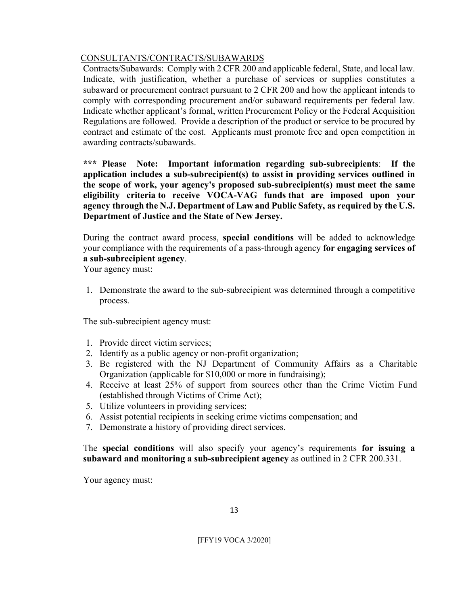## CONSULTANTS/CONTRACTS/SUBAWARDS

Contracts/Subawards: Comply with 2 CFR 200 and applicable federal, State, and local law. Indicate, with justification, whether a purchase of services or supplies constitutes a subaward or procurement contract pursuant to 2 CFR 200 and how the applicant intends to comply with corresponding procurement and/or subaward requirements per federal law. Indicate whether applicant's formal, written Procurement Policy or the Federal Acquisition Regulations are followed. Provide a description of the product or service to be procured by contract and estimate of the cost. Applicants must promote free and open competition in awarding contracts/subawards.

**\*\*\* Please Note: Important information regarding sub-subrecipients**: **If the application includes a sub-subrecipient(s) to assist in providing services outlined in the scope of work, your agency's proposed sub-subrecipient(s) must meet the same eligibility criteria to receive VOCA-VAG funds that are imposed upon your agency through the N.J. Department of Law and Public Safety, as required by the U.S. Department of Justice and the State of New Jersey.** 

During the contract award process, **special conditions** will be added to acknowledge your compliance with the requirements of a pass-through agency **for engaging services of a sub-subrecipient agency**.

Your agency must:

1. Demonstrate the award to the sub-subrecipient was determined through a competitive process.

The sub-subrecipient agency must:

- 1. Provide direct victim services;
- 2. Identify as a public agency or non-profit organization;
- 3. Be registered with the NJ Department of Community Affairs as a Charitable Organization (applicable for \$10,000 or more in fundraising);
- 4. Receive at least 25% of support from sources other than the Crime Victim Fund (established through Victims of Crime Act);
- 5. Utilize volunteers in providing services;
- 6. Assist potential recipients in seeking crime victims compensation; and
- 7. Demonstrate a history of providing direct services.

The **special conditions** will also specify your agency's requirements **for issuing a subaward and monitoring a sub-subrecipient agency** as outlined in 2 CFR 200.331.

Your agency must:

13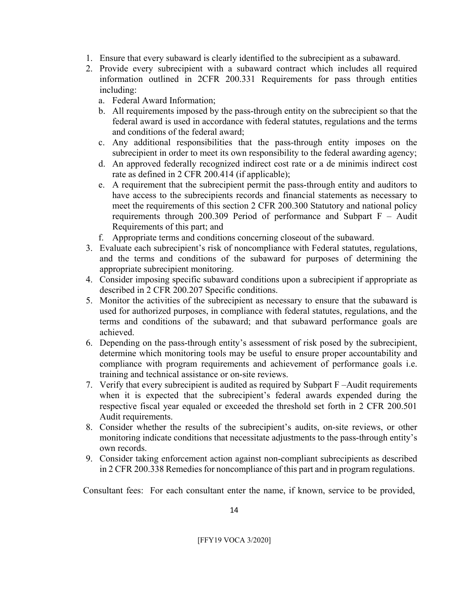- 1. Ensure that every subaward is clearly identified to the subrecipient as a subaward.
- 2. Provide every subrecipient with a subaward contract which includes all required information outlined in 2CFR 200.331 Requirements for pass through entities including:
	- a. Federal Award Information;
	- b. All requirements imposed by the pass-through entity on the subrecipient so that the federal award is used in accordance with federal statutes, regulations and the terms and conditions of the federal award;
	- c. Any additional responsibilities that the pass-through entity imposes on the subrecipient in order to meet its own responsibility to the federal awarding agency;
	- d. An approved federally recognized indirect cost rate or a de minimis indirect cost rate as defined in 2 CFR 200.414 (if applicable);
	- e. A requirement that the subrecipient permit the pass-through entity and auditors to have access to the subrecipients records and financial statements as necessary to meet the requirements of this section 2 CFR 200.300 Statutory and national policy requirements through 200.309 Period of performance and Subpart  $F -$  Audit Requirements of this part; and
	- f. Appropriate terms and conditions concerning closeout of the subaward.
- 3. Evaluate each subrecipient's risk of noncompliance with Federal statutes, regulations, and the terms and conditions of the subaward for purposes of determining the appropriate subrecipient monitoring.
- 4. Consider imposing specific subaward conditions upon a subrecipient if appropriate as described in 2 CFR 200.207 Specific conditions.
- 5. Monitor the activities of the subrecipient as necessary to ensure that the subaward is used for authorized purposes, in compliance with federal statutes, regulations, and the terms and conditions of the subaward; and that subaward performance goals are achieved.
- 6. Depending on the pass-through entity's assessment of risk posed by the subrecipient, determine which monitoring tools may be useful to ensure proper accountability and compliance with program requirements and achievement of performance goals i.e. training and technical assistance or on-site reviews.
- 7. Verify that every subrecipient is audited as required by Subpart F –Audit requirements when it is expected that the subrecipient's federal awards expended during the respective fiscal year equaled or exceeded the threshold set forth in 2 CFR 200.501 Audit requirements.
- 8. Consider whether the results of the subrecipient's audits, on-site reviews, or other monitoring indicate conditions that necessitate adjustments to the pass-through entity's own records.
- 9. Consider taking enforcement action against non-compliant subrecipients as described in 2 CFR 200.338 Remedies for noncompliance of this part and in program regulations.

Consultant fees: For each consultant enter the name, if known, service to be provided,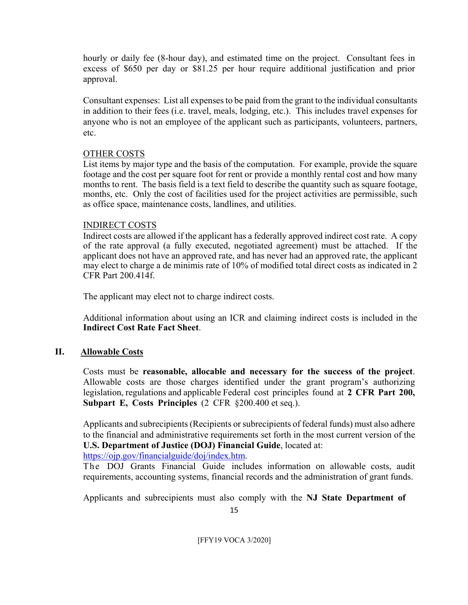hourly or daily fee (8-hour day), and estimated time on the project. Consultant fees in excess of \$650 per day or \$81.25 per hour require additional justification and prior approval.

Consultant expenses: List all expenses to be paid from the grant to the individual consultants in addition to their fees (i.e. travel, meals, lodging, etc.). This includes travel expenses for anyone who is not an employee of the applicant such as participants, volunteers, partners, etc.

## OTHER COSTS

List items by major type and the basis of the computation. For example, provide the square footage and the cost per square foot for rent or provide a monthly rental cost and how many months to rent. The basis field is a text field to describe the quantity such as square footage, months, etc. Only the cost of facilities used for the project activities are permissible, such as office space, maintenance costs, landlines, and utilities.

#### INDIRECT COSTS

Indirect costs are allowed if the applicant has a federally approved indirect cost rate. A copy of the rate approval (a fully executed, negotiated agreement) must be attached. If the applicant does not have an approved rate, and has never had an approved rate, the applicant may elect to charge a de minimis rate of 10% of modified total direct costs as indicated in 2 CFR Part 200.414f.

The applicant may elect not to charge indirect costs.

Additional information about using an ICR and claiming indirect costs is included in the **Indirect Cost Rate Fact Sheet**.

## **II. Allowable Costs**

Costs must be **reasonable, allocable and necessary for the success of the project**. Allowable costs are those charges identified under the grant program's authorizing legislation, regulations and applicable Federal cost principles found at **2 CFR Part 200, Subpart E, Costs Principles** (2 CFR §200.400 et seq.).

Applicants and subrecipients (Recipients or subrecipients of federal funds) must also adhere to the financial and administrative requirements set forth in the most current version of the **U.S. Department of Justice (DOJ) Financial Guide**, located at:

https://ojp.gov/financialguide/doj/index.htm.

The DOJ Grants Financial Guide includes information on allowable costs, audit requirements, accounting systems, financial records and the administration of grant funds.

Applicants and subrecipients must also comply with the **NJ State Department of** 

15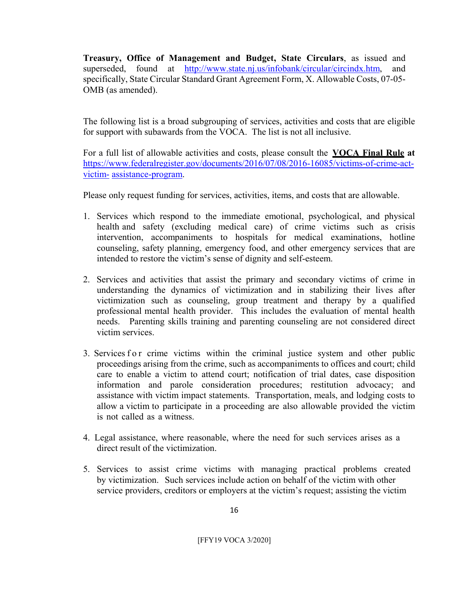**Treasury, Office of Management and Budget, State Circulars**, as issued and superseded, found at http://www.state.nj.us/infobank/circular/circindx.htm, and specifically, State Circular Standard Grant Agreement Form, X. Allowable Costs, 07-05- OMB (as amended).

The following list is a broad subgrouping of services, activities and costs that are eligible for support with subawards from the VOCA. The list is not all inclusive.

For a full list of allowable activities and costs, please consult the **VOCA Final Rule at**  https://www.federalregister.gov/documents/2016/07/08/2016-16085/victims-of-crime-actvictim- assistance-program.

Please only request funding for services, activities, items, and costs that are allowable.

- 1. Services which respond to the immediate emotional, psychological, and physical health and safety (excluding medical care) of crime victims such as crisis intervention, accompaniments to hospitals for medical examinations, hotline counseling, safety planning, emergency food, and other emergency services that are intended to restore the victim's sense of dignity and self-esteem.
- 2. Services and activities that assist the primary and secondary victims of crime in understanding the dynamics of victimization and in stabilizing their lives after victimization such as counseling, group treatment and therapy by a qualified professional mental health provider. This includes the evaluation of mental health needs. Parenting skills training and parenting counseling are not considered direct victim services.
- 3. Services for crime victims within the criminal justice system and other public proceedings arising from the crime, such as accompaniments to offices and court; child care to enable a victim to attend court; notification of trial dates, case disposition information and parole consideration procedures; restitution advocacy; and assistance with victim impact statements. Transportation, meals, and lodging costs to allow a victim to participate in a proceeding are also allowable provided the victim is not called as a witness.
- 4. Legal assistance, where reasonable, where the need for such services arises as a direct result of the victimization.
- 5. Services to assist crime victims with managing practical problems created by victimization. Such services include action on behalf of the victim with other service providers, creditors or employers at the victim's request; assisting the victim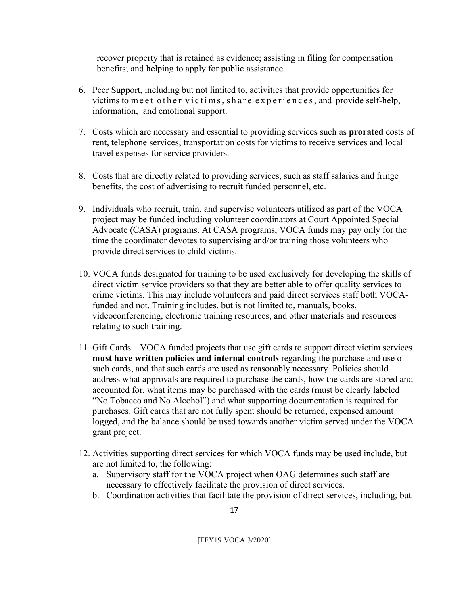recover property that is retained as evidence; assisting in filing for compensation benefits; and helping to apply for public assistance.

- 6. Peer Support, including but not limited to, activities that provide opportunities for victims to meet other victims, share experiences, and provide self-help, information, and emotional support.
- 7. Costs which are necessary and essential to providing services such as **prorated** costs of rent, telephone services, transportation costs for victims to receive services and local travel expenses for service providers.
- 8. Costs that are directly related to providing services, such as staff salaries and fringe benefits, the cost of advertising to recruit funded personnel, etc.
- 9. Individuals who recruit, train, and supervise volunteers utilized as part of the VOCA project may be funded including volunteer coordinators at Court Appointed Special Advocate (CASA) programs. At CASA programs, VOCA funds may pay only for the time the coordinator devotes to supervising and/or training those volunteers who provide direct services to child victims.
- 10. VOCA funds designated for training to be used exclusively for developing the skills of direct victim service providers so that they are better able to offer quality services to crime victims. This may include volunteers and paid direct services staff both VOCAfunded and not. Training includes, but is not limited to, manuals, books, videoconferencing, electronic training resources, and other materials and resources relating to such training.
- 11. Gift Cards VOCA funded projects that use gift cards to support direct victim services must have written policies and internal controls regarding the purchase and use of such cards, and that such cards are used as reasonably necessary. Policies should address what approvals are required to purchase the cards, how the cards are stored and accounted for, what items may be purchased with the cards (must be clearly labeled "No Tobacco and No Alcohol") and what supporting documentation is required for purchases. Gift cards that are not fully spent should be returned, expensed amount logged, and the balance should be used towards another victim served under the VOCA grant project.
- 12. Activities supporting direct services for which VOCA funds may be used include, but are not limited to, the following:
	- a. Supervisory staff for the VOCA project when OAG determines such staff are necessary to effectively facilitate the provision of direct services.
	- b. Coordination activities that facilitate the provision of direct services, including, but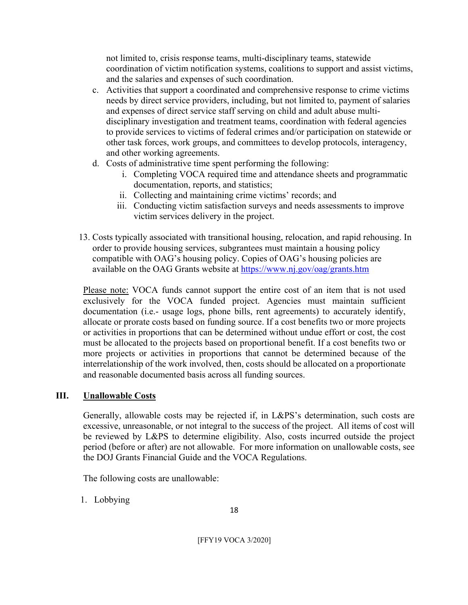not limited to, crisis response teams, multi-disciplinary teams, statewide coordination of victim notification systems, coalitions to support and assist victims, and the salaries and expenses of such coordination.

- c. Activities that support a coordinated and comprehensive response to crime victims needs by direct service providers, including, but not limited to, payment of salaries and expenses of direct service staff serving on child and adult abuse multidisciplinary investigation and treatment teams, coordination with federal agencies to provide services to victims of federal crimes and/or participation on statewide or other task forces, work groups, and committees to develop protocols, interagency, and other working agreements.
- d. Costs of administrative time spent performing the following:
	- i. Completing VOCA required time and attendance sheets and programmatic documentation, reports, and statistics;
	- ii. Collecting and maintaining crime victims' records; and
	- iii. Conducting victim satisfaction surveys and needs assessments to improve victim services delivery in the project.
- 13. Costs typically associated with transitional housing, relocation, and rapid rehousing. In order to provide housing services, subgrantees must maintain a housing policy compatible with OAG's housing policy. Copies of OAG's housing policies are available on the OAG Grants website at https://www.nj.gov/oag/grants.htm

Please note: VOCA funds cannot support the entire cost of an item that is not used exclusively for the VOCA funded project. Agencies must maintain sufficient documentation (i.e.- usage logs, phone bills, rent agreements) to accurately identify, allocate or prorate costs based on funding source. If a cost benefits two or more projects or activities in proportions that can be determined without undue effort or cost, the cost must be allocated to the projects based on proportional benefit. If a cost benefits two or more projects or activities in proportions that cannot be determined because of the interrelationship of the work involved, then, costs should be allocated on a proportionate and reasonable documented basis across all funding sources.

# **III. Unallowable Costs**

Generally, allowable costs may be rejected if, in L&PS's determination, such costs are excessive, unreasonable, or not integral to the success of the project. All items of cost will be reviewed by L&PS to determine eligibility. Also, costs incurred outside the project period (before or after) are not allowable. For more information on unallowable costs, see the DOJ Grants Financial Guide and the VOCA Regulations.

The following costs are unallowable:

1. Lobbying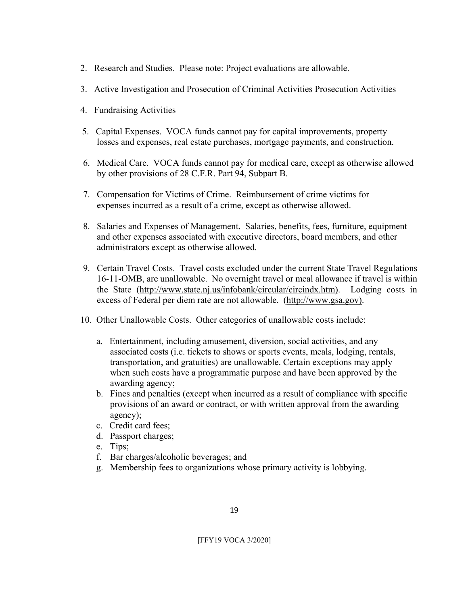- 2. Research and Studies. Please note: Project evaluations are allowable.
- 3. Active Investigation and Prosecution of Criminal Activities Prosecution Activities
- 4. Fundraising Activities
- 5. Capital Expenses. VOCA funds cannot pay for capital improvements, property losses and expenses, real estate purchases, mortgage payments, and construction.
- 6. Medical Care. VOCA funds cannot pay for medical care, except as otherwise allowed by other provisions of 28 C.F.R. Part 94, Subpart B.
- 7. Compensation for Victims of Crime. Reimbursement of crime victims for expenses incurred as a result of a crime, except as otherwise allowed.
- 8. Salaries and Expenses of Management. Salaries, benefits, fees, furniture, equipment and other expenses associated with executive directors, board members, and other administrators except as otherwise allowed.
- 9. Certain Travel Costs. Travel costs excluded under the current State Travel Regulations 16-11-OMB, are unallowable. No overnight travel or meal allowance if travel is within the State (http://www.state.nj.us/infobank/circular/circindx.htm). Lodging costs in excess of Federal per diem rate are not allowable. (http://www.gsa.gov).
- 10. Other Unallowable Costs. Other categories of unallowable costs include:
	- a. Entertainment, including amusement, diversion, social activities, and any associated costs (i.e. tickets to shows or sports events, meals, lodging, rentals, transportation, and gratuities) are unallowable. Certain exceptions may apply when such costs have a programmatic purpose and have been approved by the awarding agency;
	- b. Fines and penalties (except when incurred as a result of compliance with specific provisions of an award or contract, or with written approval from the awarding agency);
	- c. Credit card fees;
	- d. Passport charges;
	- e. Tips;
	- f. Bar charges/alcoholic beverages; and
	- g. Membership fees to organizations whose primary activity is lobbying.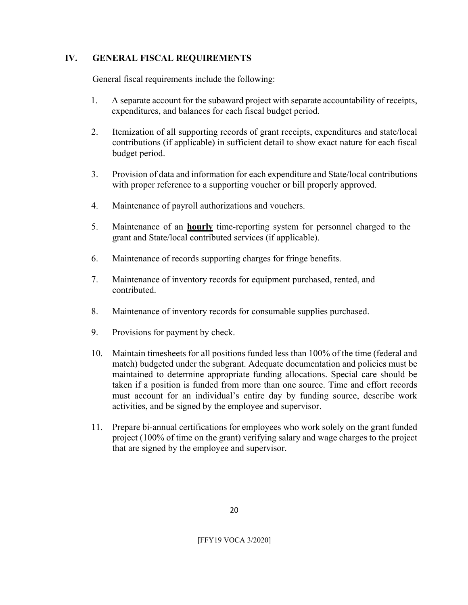## **IV. GENERAL FISCAL REQUIREMENTS**

General fiscal requirements include the following:

- 1. A separate account for the subaward project with separate accountability of receipts, expenditures, and balances for each fiscal budget period.
- 2. Itemization of all supporting records of grant receipts, expenditures and state/local contributions (if applicable) in sufficient detail to show exact nature for each fiscal budget period.
- 3. Provision of data and information for each expenditure and State/local contributions with proper reference to a supporting voucher or bill properly approved.
- 4. Maintenance of payroll authorizations and vouchers.
- 5. Maintenance of an **hourly** time-reporting system for personnel charged to the grant and State/local contributed services (if applicable).
- 6. Maintenance of records supporting charges for fringe benefits.
- 7. Maintenance of inventory records for equipment purchased, rented, and contributed.
- 8. Maintenance of inventory records for consumable supplies purchased.
- 9. Provisions for payment by check.
- 10. Maintain timesheets for all positions funded less than 100% of the time (federal and match) budgeted under the subgrant. Adequate documentation and policies must be maintained to determine appropriate funding allocations. Special care should be taken if a position is funded from more than one source. Time and effort records must account for an individual's entire day by funding source, describe work activities, and be signed by the employee and supervisor.
- 11. Prepare bi-annual certifications for employees who work solely on the grant funded project (100% of time on the grant) verifying salary and wage charges to the project that are signed by the employee and supervisor.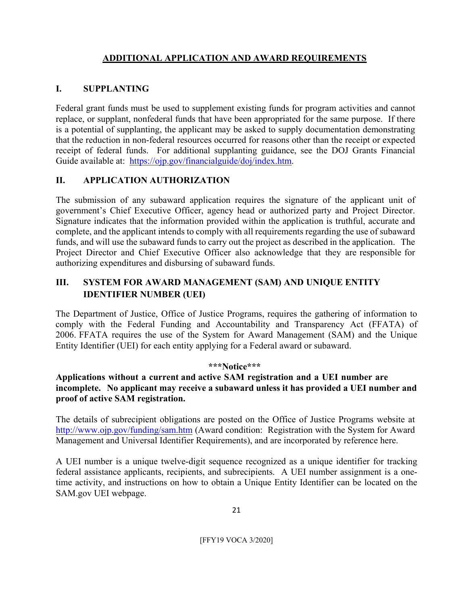# **ADDITIONAL APPLICATION AND AWARD REQUIREMENTS**

## **I. SUPPLANTING**

Federal grant funds must be used to supplement existing funds for program activities and cannot replace, or supplant, nonfederal funds that have been appropriated for the same purpose. If there is a potential of supplanting, the applicant may be asked to supply documentation demonstrating that the reduction in non-federal resources occurred for reasons other than the receipt or expected receipt of federal funds. For additional supplanting guidance, see the DOJ Grants Financial Guide available at: https://ojp.gov/financialguide/doj/index.htm.

## **II. APPLICATION AUTHORIZATION**

The submission of any subaward application requires the signature of the applicant unit of government's Chief Executive Officer, agency head or authorized party and Project Director. Signature indicates that the information provided within the application is truthful, accurate and complete, and the applicant intends to comply with all requirements regarding the use of subaward funds, and will use the subaward funds to carry out the project as described in the application. The Project Director and Chief Executive Officer also acknowledge that they are responsible for authorizing expenditures and disbursing of subaward funds.

## **III. SYSTEM FOR AWARD MANAGEMENT (SAM) AND UNIQUE ENTITY IDENTIFIER NUMBER (UEI)**

The Department of Justice, Office of Justice Programs, requires the gathering of information to comply with the Federal Funding and Accountability and Transparency Act (FFATA) of 2006. FFATA requires the use of the System for Award Management (SAM) and the Unique Entity Identifier (UEI) for each entity applying for a Federal award or subaward.

#### **\*\*\*Notice\*\*\***

## **Applications without a current and active SAM registration and a UEI number are incomplete. No applicant may receive a subaward unless it has provided a UEI number and proof of active SAM registration.**

The details of subrecipient obligations are posted on the Office of Justice Programs website at http://www.ojp.gov/funding/sam.htm (Award condition: Registration with the System for Award Management and Universal Identifier Requirements), and are incorporated by reference here.

A UEI number is a unique twelve-digit sequence recognized as a unique identifier for tracking federal assistance applicants, recipients, and subrecipients. A UEI number assignment is a onetime activity, and instructions on how to obtain a Unique Entity Identifier can be located on the SAM.gov UEI webpage.

21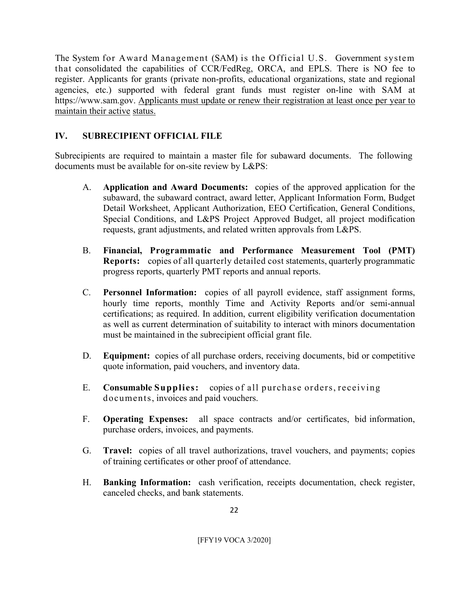The System for Award Management (SAM) is the Official U.S. Government system that consolidated the capabilities of CCR/FedReg, ORCA, and EPLS. There is NO fee to register. Applicants for grants (private non-profits, educational organizations, state and regional agencies, etc.) supported with federal grant funds must register on-line with SAM at https://www.sam.gov. Applicants must update or renew their registration at least once per year to maintain their active status.

## **IV. SUBRECIPIENT OFFICIAL FILE**

Subrecipients are required to maintain a master file for subaward documents. The following documents must be available for on-site review by L&PS:

- A. **Application and Award Documents:** copies of the approved application for the subaward, the subaward contract, award letter, Applicant Information Form, Budget Detail Worksheet, Applicant Authorization, EEO Certification, General Conditions, Special Conditions, and L&PS Project Approved Budget, all project modification requests, grant adjustments, and related written approvals from L&PS.
- B. **Financial, Programmatic and Performance Measurement Tool (PMT) Reports:** copies of all quarterly detailed cost statements, quarterly programmatic progress reports, quarterly PMT reports and annual reports.
- C. **Personnel Information:** copies of all payroll evidence, staff assignment forms, hourly time reports, monthly Time and Activity Reports and/or semi-annual certifications; as required. In addition, current eligibility verification documentation as well as current determination of suitability to interact with minors documentation must be maintained in the subrecipient official grant file.
- D. **Equipment:** copies of all purchase orders, receiving documents, bid or competitive quote information, paid vouchers, and inventory data.
- E. **Consumable Supplies:** copies of all purchase orders, receiving documents, invoices and paid vouchers.
- F. **Operating Expenses:** all space contracts and/or certificates, bid information, purchase orders, invoices, and payments.
- G. **Travel:** copies of all travel authorizations, travel vouchers, and payments; copies of training certificates or other proof of attendance.
- H. **Banking Information:** cash verification, receipts documentation, check register, canceled checks, and bank statements.

 $22$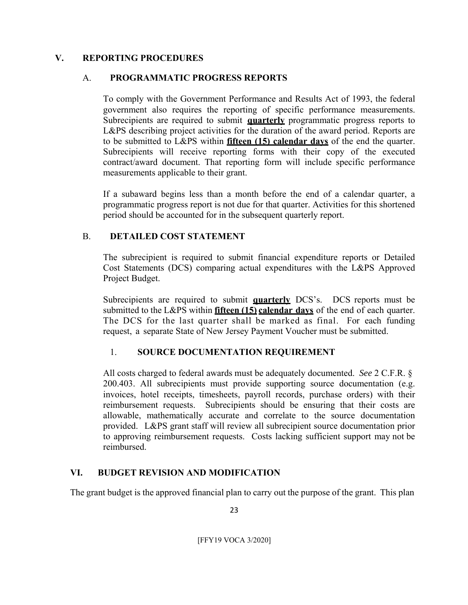### **V. REPORTING PROCEDURES**

## A. **PROGRAMMATIC PROGRESS REPORTS**

To comply with the Government Performance and Results Act of 1993, the federal government also requires the reporting of specific performance measurements. Subrecipients are required to submit **quarterly** programmatic progress reports to L&PS describing project activities for the duration of the award period. Reports are to be submitted to L&PS within **fifteen (15) calendar days** of the end the quarter. Subrecipients will receive reporting forms with their copy of the executed contract/award document. That reporting form will include specific performance measurements applicable to their grant.

If a subaward begins less than a month before the end of a calendar quarter, a programmatic progress report is not due for that quarter. Activities for this shortened period should be accounted for in the subsequent quarterly report.

## B. **DETAILED COST STATEMENT**

The subrecipient is required to submit financial expenditure reports or Detailed Cost Statements (DCS) comparing actual expenditures with the L&PS Approved Project Budget.

Subrecipients are required to submit **quarterly** DCS's. DCS reports must be submitted to the L&PS within **fifteen (15) calendar days** of the end of each quarter. The DCS for the last quarter shall be marked as final. For each funding request, a separate State of New Jersey Payment Voucher must be submitted.

## 1. **SOURCE DOCUMENTATION REQUIREMENT**

All costs charged to federal awards must be adequately documented. *See* 2 C.F.R. § 200.403. All subrecipients must provide supporting source documentation (e.g. invoices, hotel receipts, timesheets, payroll records, purchase orders) with their reimbursement requests. Subrecipients should be ensuring that their costs are allowable, mathematically accurate and correlate to the source documentation provided. L&PS grant staff will review all subrecipient source documentation prior to approving reimbursement requests. Costs lacking sufficient support may not be reimbursed.

## **VI. BUDGET REVISION AND MODIFICATION**

The grant budget is the approved financial plan to carry out the purpose of the grant. This plan

23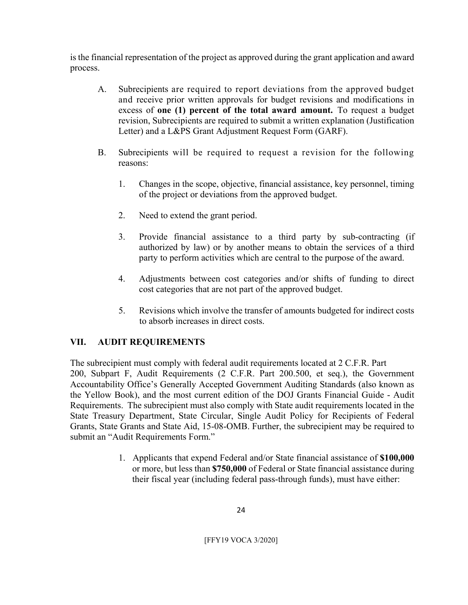is the financial representation of the project as approved during the grant application and award process.

- A. Subrecipients are required to report deviations from the approved budget and receive prior written approvals for budget revisions and modifications in excess of **one (1) percent of the total award amount.** To request a budget revision, Subrecipients are required to submit a written explanation (Justification Letter) and a L&PS Grant Adjustment Request Form (GARF).
- B. Subrecipients will be required to request a revision for the following reasons:
	- 1. Changes in the scope, objective, financial assistance, key personnel, timing of the project or deviations from the approved budget.
	- 2. Need to extend the grant period.
	- 3. Provide financial assistance to a third party by sub-contracting (if authorized by law) or by another means to obtain the services of a third party to perform activities which are central to the purpose of the award.
	- 4. Adjustments between cost categories and/or shifts of funding to direct cost categories that are not part of the approved budget.
	- 5. Revisions which involve the transfer of amounts budgeted for indirect costs to absorb increases in direct costs.

# **VII. AUDIT REQUIREMENTS**

The subrecipient must comply with federal audit requirements located at 2 C.F.R. Part 200, Subpart F, Audit Requirements (2 C.F.R. Part 200.500, et seq.), the Government Accountability Office's Generally Accepted Government Auditing Standards (also known as the Yellow Book), and the most current edition of the DOJ Grants Financial Guide - Audit Requirements. The subrecipient must also comply with State audit requirements located in the State Treasury Department, State Circular, Single Audit Policy for Recipients of Federal Grants, State Grants and State Aid, 15-08-OMB. Further, the subrecipient may be required to submit an "Audit Requirements Form."

> 1. Applicants that expend Federal and/or State financial assistance of **\$100,000**  or more, but less than **\$750,000** of Federal or State financial assistance during their fiscal year (including federal pass-through funds), must have either: